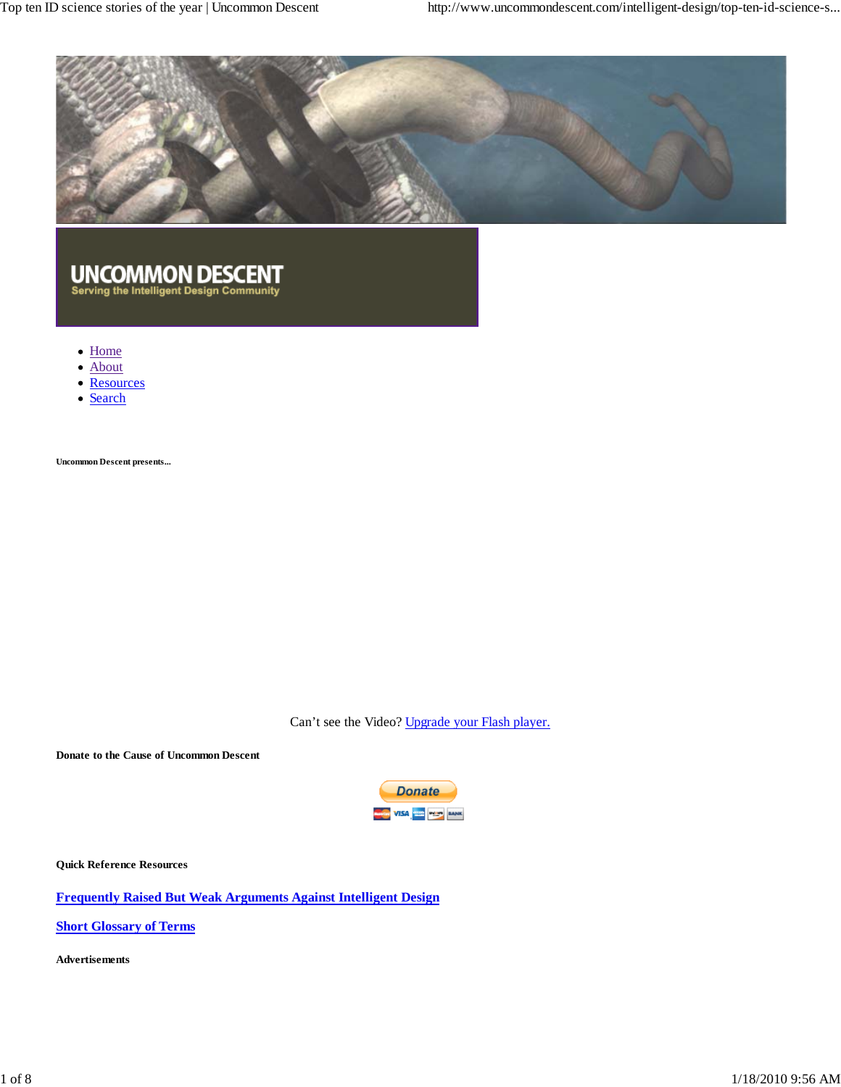Top ten ID science stories of the year | Uncommon Descent http://www.uncommondescent.com/intelligent-design/top-ten-id-science-s...



# UNCOMMON DESCENT<br>Serving the Intelligent Design Community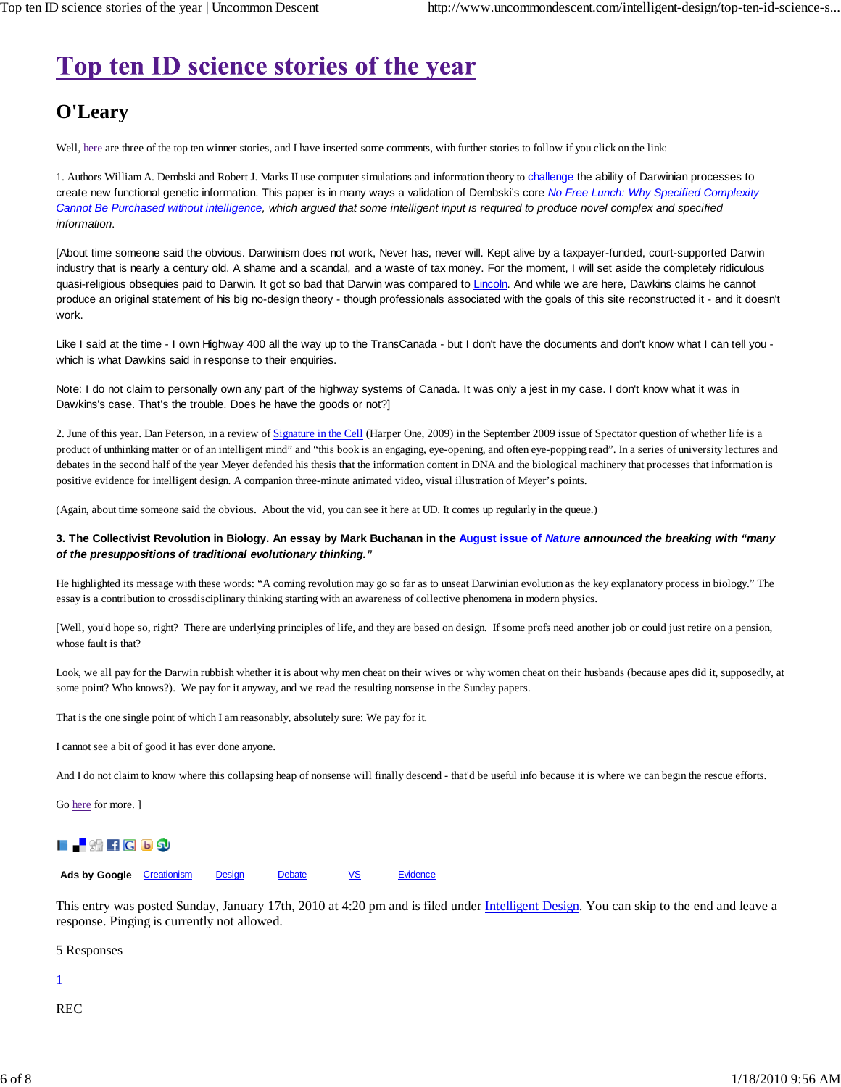## Top ten ID science stories of the year

### **O'Leary**

Well, here are three of the top ten winner stories, and I have inserted some comments, with further stories to follow if you click on the link:

1. Authors William A. Dembski and Robert J. Marks II use computer simulations and information theory to challenge the ability of Darwinian processes to create new functional genetic information. This paper is in many ways a validation of Dembski's core *No Free Lunch: Why Specified Complexity Cannot Be Purchased without intelligence, which argued that some intelligent input is required to produce novel complex and specified information*.

[About time someone said the obvious. Darwinism does not work, Never has, never will. Kept alive by a taxpayer-funded, court-supported Darwin industry that is nearly a century old. A shame and a scandal, and a waste of tax money. For the moment, I will set aside the completely ridiculous quasi-religious obsequies paid to Darwin. It got so bad that Darwin was compared to Lincoln. And while we are here, Dawkins claims he cannot produce an original statement of his big no-design theory - though professionals associated with the goals of this site reconstructed it - and it doesn't work.

Like I said at the time - I own Highway 400 all the way up to the TransCanada - but I don't have the documents and don't know what I can tell you which is what Dawkins said in response to their enquiries.

Note: I do not claim to personally own any part of the highway systems of Canada. It was only a jest in my case. I don't know what it was in Dawkins's case. That's the trouble. Does he have the goods or not?]

2. June of this year. Dan Peterson, in a review of Signature in the Cell (Harper One, 2009) in the September 2009 issue of Spectator question of whether life is a product of unthinking matter or of an intelligent mind" and "this book is an engaging, eye-opening, and often eye-popping read". In a series of university lectures and debates in the second half of the year Meyer defended his thesis that the information content in DNA and the biological machinery that processes that information is positive evidence for intelligent design. A companion three-minute animated video, visual illustration of Meyer's points.

(Again, about time someone said the obvious. About the vid, you can see it here at UD. It comes up regularly in the queue.)

#### **3. The Collectivist Revolution in Biology. An essay by Mark Buchanan in the August issue of** *Nature announced the breaking with "many of the presuppositions of traditional evolutionary thinking."*

He highlighted its message with these words: "A coming revolution may go so far as to unseat Darwinian evolution as the key explanatory process in biology." The essay is a contribution to crossdisciplinary thinking starting with an awareness of collective phenomena in modern physics.

[Well, you'd hope so, right? There are underlying principles of life, and they are based on design. If some profs need another job or could just retire on a pension, whose fault is that?

Look, we all pay for the Darwin rubbish whether it is about why men cheat on their wives or why women cheat on their husbands (because apes did it, supposedly, at some point? Who knows?). We pay for it anyway, and we read the resulting nonsense in the Sunday papers.

That is the one single point of which I am reasonably, absolutely sure: We pay for it.

I cannot see a bit of good it has ever done anyone.

And I do not claim to know where this collapsing heap of nonsense will finally descend - that'd be useful info because it is where we can begin the rescue efforts.

Go here for more. ]

### **LA**₩fCD5

Ads by Google Creationism Design Debate VS Evidence

This entry was posted Sunday, January 17th, 2010 at 4:20 pm and is filed under Intelligent Design. You can skip to the end and leave a response. Pinging is currently not allowed.

5 Responses

1

REC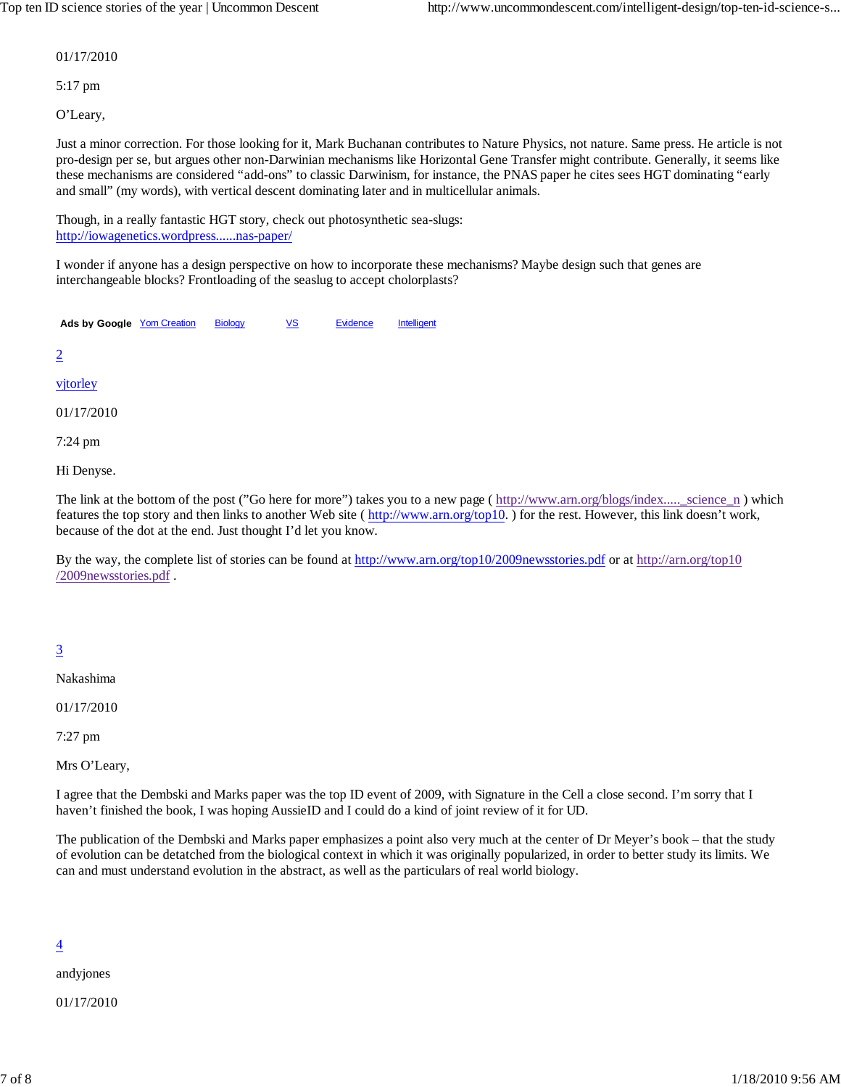01/17/2010

5:17 pm

O'Leary,

Just a minor correction. For those looking for it, Mark Buchanan contributes to Nature Physics, not nature. Same press. He article is not pro-design per se, but argues other non-Darwinian mechanisms like Horizontal Gene Transfer might contribute. Generally, it seems like these mechanisms are considered "add-ons" to classic Darwinism, for instance, the PNAS paper he cites sees HGT dominating "early and small" (my words), with vertical descent dominating later and in multicellular animals.

Though, in a really fantastic HGT story, check out photosynthetic sea-slugs: http://iowagenetics.wordpress......nas-paper/

I wonder if anyone has a design perspective on how to incorporate these mechanisms? Maybe design such that genes are interchangeable blocks? Frontloading of the seaslug to accept cholorplasts?

Ads by Google Yom Creation Biology VS Evidence Intelligent

2

vjtorley

01/17/2010

7:24 pm

Hi Denyse.

The link at the bottom of the post ("Go here for more") takes you to a new page ( $\frac{http://www.arn.org/blogs/index.....\ncircence_n}$ ) which features the top story and then links to another Web site ( http://www.arn.org/top10.) for the rest. However, this link doesn't work, because of the dot at the end. Just thought I'd let you know.

By the way, the complete list of stories can be found at http://www.arn.org/top10/2009newsstories.pdf or at http://arn.org/top10 /2009newsstories.pdf .

### 3

Nakashima

01/17/2010

7:27 pm

Mrs O'Leary,

I agree that the Dembski and Marks paper was the top ID event of 2009, with Signature in the Cell a close second. I'm sorry that I haven't finished the book, I was hoping AussieID and I could do a kind of joint review of it for UD.

The publication of the Dembski and Marks paper emphasizes a point also very much at the center of Dr Meyer's book – that the study of evolution can be detatched from the biological context in which it was originally popularized, in order to better study its limits. We can and must understand evolution in the abstract, as well as the particulars of real world biology.

#### $\overline{4}$

andyjones

01/17/2010